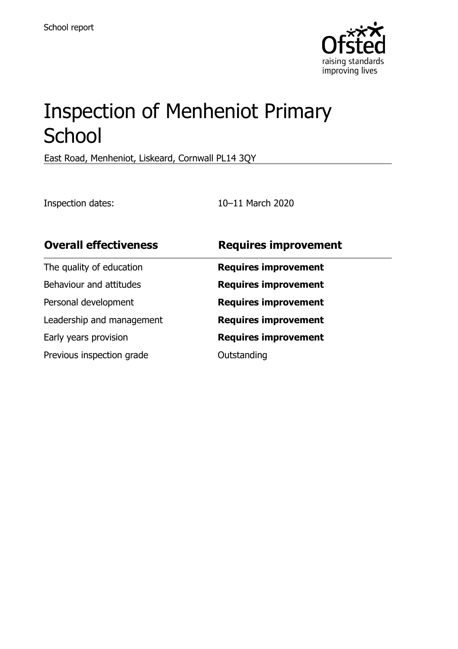

# Inspection of Menheniot Primary **School**

East Road, Menheniot, Liskeard, Cornwall PL14 3QY

Inspection dates: 10–11 March 2020

| <b>Overall effectiveness</b> | <b>Requires improvement</b> |
|------------------------------|-----------------------------|
| The quality of education     | <b>Requires improvement</b> |
| Behaviour and attitudes      | <b>Requires improvement</b> |
| Personal development         | <b>Requires improvement</b> |
| Leadership and management    | <b>Requires improvement</b> |
| Early years provision        | <b>Requires improvement</b> |
| Previous inspection grade    | Outstanding                 |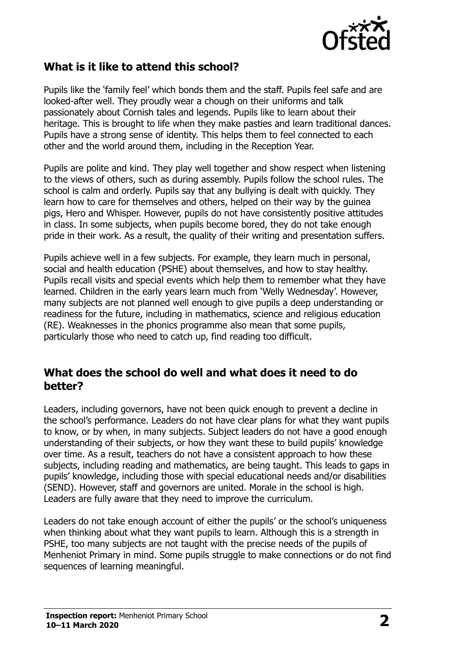

### **What is it like to attend this school?**

Pupils like the 'family feel' which bonds them and the staff. Pupils feel safe and are looked-after well. They proudly wear a chough on their uniforms and talk passionately about Cornish tales and legends. Pupils like to learn about their heritage. This is brought to life when they make pasties and learn traditional dances. Pupils have a strong sense of identity. This helps them to feel connected to each other and the world around them, including in the Reception Year.

Pupils are polite and kind. They play well together and show respect when listening to the views of others, such as during assembly. Pupils follow the school rules. The school is calm and orderly. Pupils say that any bullying is dealt with quickly. They learn how to care for themselves and others, helped on their way by the guinea pigs, Hero and Whisper. However, pupils do not have consistently positive attitudes in class. In some subjects, when pupils become bored, they do not take enough pride in their work. As a result, the quality of their writing and presentation suffers.

Pupils achieve well in a few subjects. For example, they learn much in personal, social and health education (PSHE) about themselves, and how to stay healthy. Pupils recall visits and special events which help them to remember what they have learned. Children in the early years learn much from 'Welly Wednesday'. However, many subjects are not planned well enough to give pupils a deep understanding or readiness for the future, including in mathematics, science and religious education (RE). Weaknesses in the phonics programme also mean that some pupils, particularly those who need to catch up, find reading too difficult.

#### **What does the school do well and what does it need to do better?**

Leaders, including governors, have not been quick enough to prevent a decline in the school's performance. Leaders do not have clear plans for what they want pupils to know, or by when, in many subjects. Subject leaders do not have a good enough understanding of their subjects, or how they want these to build pupils' knowledge over time. As a result, teachers do not have a consistent approach to how these subjects, including reading and mathematics, are being taught. This leads to gaps in pupils' knowledge, including those with special educational needs and/or disabilities (SEND). However, staff and governors are united. Morale in the school is high. Leaders are fully aware that they need to improve the curriculum.

Leaders do not take enough account of either the pupils' or the school's uniqueness when thinking about what they want pupils to learn. Although this is a strength in PSHE, too many subjects are not taught with the precise needs of the pupils of Menheniot Primary in mind. Some pupils struggle to make connections or do not find sequences of learning meaningful.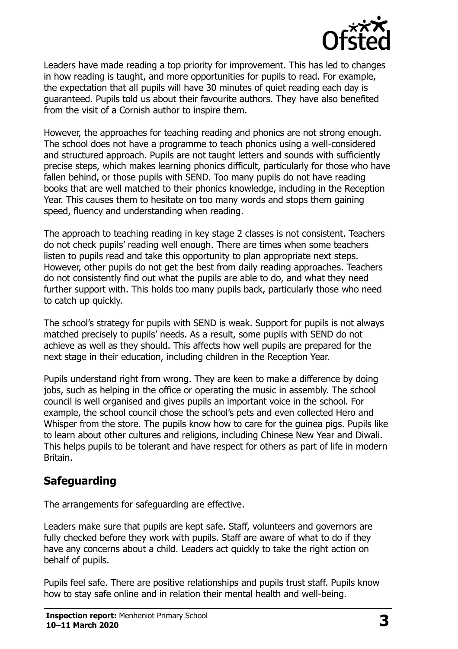

Leaders have made reading a top priority for improvement. This has led to changes in how reading is taught, and more opportunities for pupils to read. For example, the expectation that all pupils will have 30 minutes of quiet reading each day is guaranteed. Pupils told us about their favourite authors. They have also benefited from the visit of a Cornish author to inspire them.

However, the approaches for teaching reading and phonics are not strong enough. The school does not have a programme to teach phonics using a well-considered and structured approach. Pupils are not taught letters and sounds with sufficiently precise steps, which makes learning phonics difficult, particularly for those who have fallen behind, or those pupils with SEND. Too many pupils do not have reading books that are well matched to their phonics knowledge, including in the Reception Year. This causes them to hesitate on too many words and stops them gaining speed, fluency and understanding when reading.

The approach to teaching reading in key stage 2 classes is not consistent. Teachers do not check pupils' reading well enough. There are times when some teachers listen to pupils read and take this opportunity to plan appropriate next steps. However, other pupils do not get the best from daily reading approaches. Teachers do not consistently find out what the pupils are able to do, and what they need further support with. This holds too many pupils back, particularly those who need to catch up quickly.

The school's strategy for pupils with SEND is weak. Support for pupils is not always matched precisely to pupils' needs. As a result, some pupils with SEND do not achieve as well as they should. This affects how well pupils are prepared for the next stage in their education, including children in the Reception Year.

Pupils understand right from wrong. They are keen to make a difference by doing jobs, such as helping in the office or operating the music in assembly. The school council is well organised and gives pupils an important voice in the school. For example, the school council chose the school's pets and even collected Hero and Whisper from the store. The pupils know how to care for the guinea pigs. Pupils like to learn about other cultures and religions, including Chinese New Year and Diwali. This helps pupils to be tolerant and have respect for others as part of life in modern Britain.

## **Safeguarding**

The arrangements for safeguarding are effective.

Leaders make sure that pupils are kept safe. Staff, volunteers and governors are fully checked before they work with pupils. Staff are aware of what to do if they have any concerns about a child. Leaders act quickly to take the right action on behalf of pupils.

Pupils feel safe. There are positive relationships and pupils trust staff. Pupils know how to stay safe online and in relation their mental health and well-being.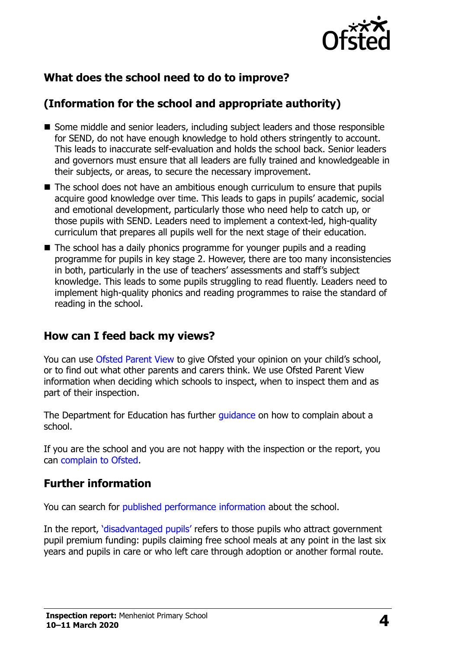

## **What does the school need to do to improve?**

## **(Information for the school and appropriate authority)**

- Some middle and senior leaders, including subject leaders and those responsible for SEND, do not have enough knowledge to hold others stringently to account. This leads to inaccurate self-evaluation and holds the school back. Senior leaders and governors must ensure that all leaders are fully trained and knowledgeable in their subjects, or areas, to secure the necessary improvement.
- The school does not have an ambitious enough curriculum to ensure that pupils acquire good knowledge over time. This leads to gaps in pupils' academic, social and emotional development, particularly those who need help to catch up, or those pupils with SEND. Leaders need to implement a context-led, high-quality curriculum that prepares all pupils well for the next stage of their education.
- The school has a daily phonics programme for younger pupils and a reading programme for pupils in key stage 2. However, there are too many inconsistencies in both, particularly in the use of teachers' assessments and staff's subject knowledge. This leads to some pupils struggling to read fluently. Leaders need to implement high-quality phonics and reading programmes to raise the standard of reading in the school.

#### **How can I feed back my views?**

You can use [Ofsted Parent View](http://parentview.ofsted.gov.uk/) to give Ofsted your opinion on your child's school, or to find out what other parents and carers think. We use Ofsted Parent View information when deciding which schools to inspect, when to inspect them and as part of their inspection.

The Department for Education has further quidance on how to complain about a school.

If you are the school and you are not happy with the inspection or the report, you can [complain to Ofsted.](http://www.gov.uk/complain-ofsted-report)

#### **Further information**

You can search for [published performance information](http://www.compare-school-performance.service.gov.uk/) about the school.

In the report, '[disadvantaged pupils](http://www.gov.uk/guidance/pupil-premium-information-for-schools-and-alternative-provision-settings)' refers to those pupils who attract government pupil premium funding: pupils claiming free school meals at any point in the last six years and pupils in care or who left care through adoption or another formal route.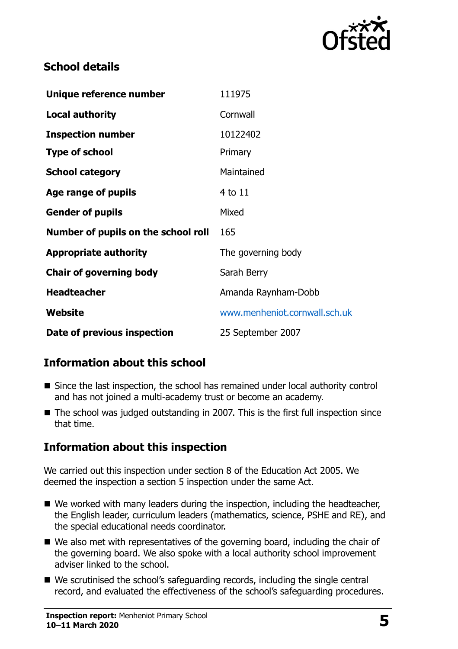

### **School details**

| Unique reference number             | 111975                        |
|-------------------------------------|-------------------------------|
| <b>Local authority</b>              | Cornwall                      |
| <b>Inspection number</b>            | 10122402                      |
| <b>Type of school</b>               | Primary                       |
| <b>School category</b>              | Maintained                    |
| Age range of pupils                 | 4 to 11                       |
| <b>Gender of pupils</b>             | Mixed                         |
| Number of pupils on the school roll | 165                           |
| <b>Appropriate authority</b>        | The governing body            |
| <b>Chair of governing body</b>      | Sarah Berry                   |
| <b>Headteacher</b>                  | Amanda Raynham-Dobb           |
| Website                             | www.menheniot.cornwall.sch.uk |
| Date of previous inspection         | 25 September 2007             |

## **Information about this school**

- Since the last inspection, the school has remained under local authority control and has not joined a multi-academy trust or become an academy.
- The school was judged outstanding in 2007. This is the first full inspection since that time.

#### **Information about this inspection**

We carried out this inspection under section 8 of the Education Act 2005. We deemed the inspection a section 5 inspection under the same Act.

- We worked with many leaders during the inspection, including the headteacher, the English leader, curriculum leaders (mathematics, science, PSHE and RE), and the special educational needs coordinator.
- We also met with representatives of the governing board, including the chair of the governing board. We also spoke with a local authority school improvement adviser linked to the school.
- We scrutinised the school's safeguarding records, including the single central record, and evaluated the effectiveness of the school's safeguarding procedures.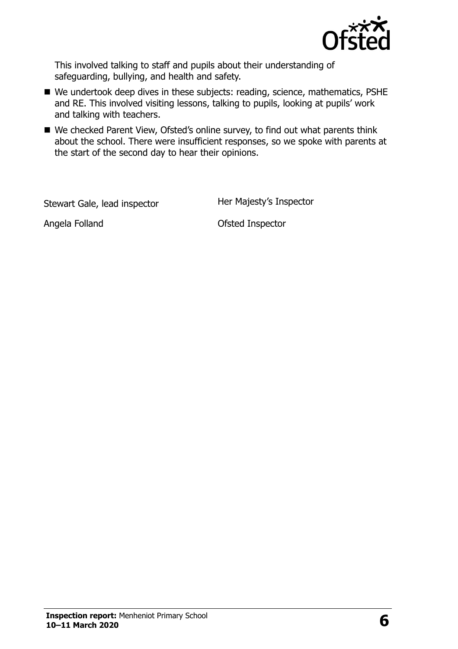

This involved talking to staff and pupils about their understanding of safeguarding, bullying, and health and safety.

- We undertook deep dives in these subjects: reading, science, mathematics, PSHE and RE. This involved visiting lessons, talking to pupils, looking at pupils' work and talking with teachers.
- We checked Parent View, Ofsted's online survey, to find out what parents think about the school. There were insufficient responses, so we spoke with parents at the start of the second day to hear their opinions.

Stewart Gale, lead inspector **Her Majesty's Inspector** 

Angela Folland **Canadian Contract Contract Contract Contract Contract Contract Contract Contract Contract Contract Contract Contract Contract Contract Contract Contract Contract Contract Contract Contract Contract Contract**